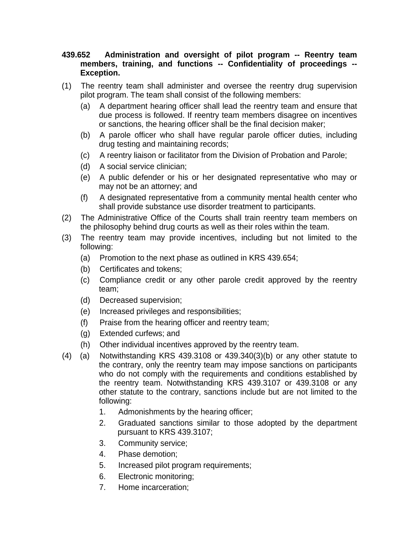## **439.652 Administration and oversight of pilot program -- Reentry team members, training, and functions -- Confidentiality of proceedings -- Exception.**

- (1) The reentry team shall administer and oversee the reentry drug supervision pilot program. The team shall consist of the following members:
	- (a) A department hearing officer shall lead the reentry team and ensure that due process is followed. If reentry team members disagree on incentives or sanctions, the hearing officer shall be the final decision maker;
	- (b) A parole officer who shall have regular parole officer duties, including drug testing and maintaining records;
	- (c) A reentry liaison or facilitator from the Division of Probation and Parole;
	- (d) A social service clinician;
	- (e) A public defender or his or her designated representative who may or may not be an attorney; and
	- (f) A designated representative from a community mental health center who shall provide substance use disorder treatment to participants.
- (2) The Administrative Office of the Courts shall train reentry team members on the philosophy behind drug courts as well as their roles within the team.
- (3) The reentry team may provide incentives, including but not limited to the following:
	- (a) Promotion to the next phase as outlined in KRS 439.654;
	- (b) Certificates and tokens;
	- (c) Compliance credit or any other parole credit approved by the reentry team;
	- (d) Decreased supervision;
	- (e) Increased privileges and responsibilities;
	- (f) Praise from the hearing officer and reentry team;
	- (g) Extended curfews; and
	- (h) Other individual incentives approved by the reentry team.
- (4) (a) Notwithstanding KRS 439.3108 or 439.340(3)(b) or any other statute to the contrary, only the reentry team may impose sanctions on participants who do not comply with the requirements and conditions established by the reentry team. Notwithstanding KRS 439.3107 or 439.3108 or any other statute to the contrary, sanctions include but are not limited to the following:
	- 1. Admonishments by the hearing officer;
	- 2. Graduated sanctions similar to those adopted by the department pursuant to KRS 439.3107;
	- 3. Community service;
	- 4. Phase demotion;
	- 5. Increased pilot program requirements;
	- 6. Electronic monitoring;
	- 7. Home incarceration;